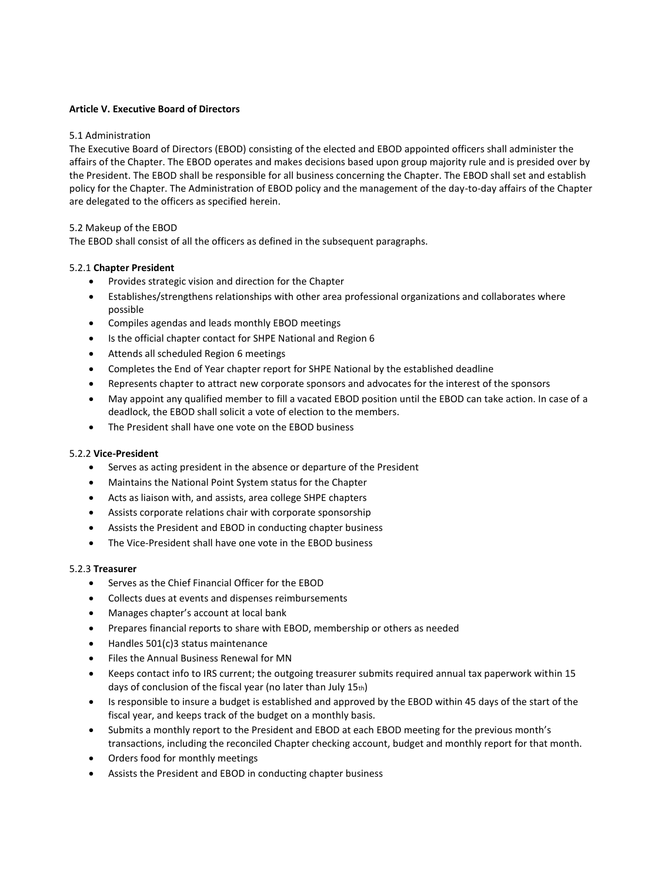## **Article V. Executive Board of Directors**

### 5.1 Administration

The Executive Board of Directors (EBOD) consisting of the elected and EBOD appointed officers shall administer the affairs of the Chapter. The EBOD operates and makes decisions based upon group majority rule and is presided over by the President. The EBOD shall be responsible for all business concerning the Chapter. The EBOD shall set and establish policy for the Chapter. The Administration of EBOD policy and the management of the day-to-day affairs of the Chapter are delegated to the officers as specified herein.

## 5.2 Makeup of the EBOD

The EBOD shall consist of all the officers as defined in the subsequent paragraphs.

## 5.2.1 **Chapter President**

- Provides strategic vision and direction for the Chapter
- Establishes/strengthens relationships with other area professional organizations and collaborates where possible
- Compiles agendas and leads monthly EBOD meetings
- Is the official chapter contact for SHPE National and Region 6
- Attends all scheduled Region 6 meetings
- Completes the End of Year chapter report for SHPE National by the established deadline
- Represents chapter to attract new corporate sponsors and advocates for the interest of the sponsors
- May appoint any qualified member to fill a vacated EBOD position until the EBOD can take action. In case of a deadlock, the EBOD shall solicit a vote of election to the members.
- The President shall have one vote on the EBOD business

#### 5.2.2 **Vice-President**

- Serves as acting president in the absence or departure of the President
- Maintains the National Point System status for the Chapter
- Acts as liaison with, and assists, area college SHPE chapters
- Assists corporate relations chair with corporate sponsorship
- Assists the President and EBOD in conducting chapter business
- The Vice-President shall have one vote in the EBOD business

#### 5.2.3 **Treasurer**

- Serves as the Chief Financial Officer for the EBOD
- Collects dues at events and dispenses reimbursements
- Manages chapter's account at local bank
- Prepares financial reports to share with EBOD, membership or others as needed
- Handles 501(c)3 status maintenance
- Files the Annual Business Renewal for MN
- Keeps contact info to IRS current; the outgoing treasurer submits required annual tax paperwork within 15 days of conclusion of the fiscal year (no later than July 15th)
- Is responsible to insure a budget is established and approved by the EBOD within 45 days of the start of the fiscal year, and keeps track of the budget on a monthly basis.
- Submits a monthly report to the President and EBOD at each EBOD meeting for the previous month's transactions, including the reconciled Chapter checking account, budget and monthly report for that month.
- Orders food for monthly meetings
- Assists the President and EBOD in conducting chapter business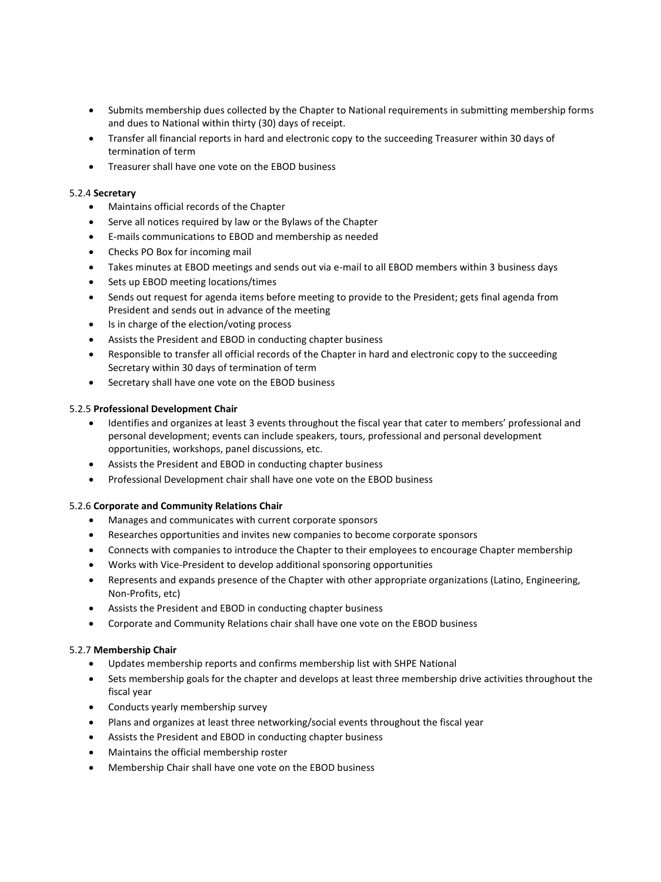- Submits membership dues collected by the Chapter to National requirements in submitting membership forms and dues to National within thirty (30) days of receipt.
- Transfer all financial reports in hard and electronic copy to the succeeding Treasurer within 30 days of termination of term
- Treasurer shall have one vote on the EBOD business

## 5.2.4 **Secretary**

- Maintains official records of the Chapter
- Serve all notices required by law or the Bylaws of the Chapter
- E-mails communications to EBOD and membership as needed
- Checks PO Box for incoming mail
- Takes minutes at EBOD meetings and sends out via e-mail to all EBOD members within 3 business days
- Sets up EBOD meeting locations/times
- Sends out request for agenda items before meeting to provide to the President; gets final agenda from President and sends out in advance of the meeting
- Is in charge of the election/voting process
- Assists the President and EBOD in conducting chapter business
- Responsible to transfer all official records of the Chapter in hard and electronic copy to the succeeding Secretary within 30 days of termination of term
- Secretary shall have one vote on the EBOD business

#### 5.2.5 **Professional Development Chair**

- Identifies and organizes at least 3 events throughout the fiscal year that cater to members' professional and personal development; events can include speakers, tours, professional and personal development opportunities, workshops, panel discussions, etc.
- Assists the President and EBOD in conducting chapter business
- Professional Development chair shall have one vote on the EBOD business

# 5.2.6 **Corporate and Community Relations Chair**

- Manages and communicates with current corporate sponsors
- Researches opportunities and invites new companies to become corporate sponsors
- Connects with companies to introduce the Chapter to their employees to encourage Chapter membership
- Works with Vice-President to develop additional sponsoring opportunities
- Represents and expands presence of the Chapter with other appropriate organizations (Latino, Engineering, Non-Profits, etc)
- Assists the President and EBOD in conducting chapter business
- Corporate and Community Relations chair shall have one vote on the EBOD business

#### 5.2.7 **Membership Chair**

- Updates membership reports and confirms membership list with SHPE National
- Sets membership goals for the chapter and develops at least three membership drive activities throughout the fiscal year
- Conducts yearly membership survey
- Plans and organizes at least three networking/social events throughout the fiscal year
- Assists the President and EBOD in conducting chapter business
- Maintains the official membership roster
- Membership Chair shall have one vote on the EBOD business